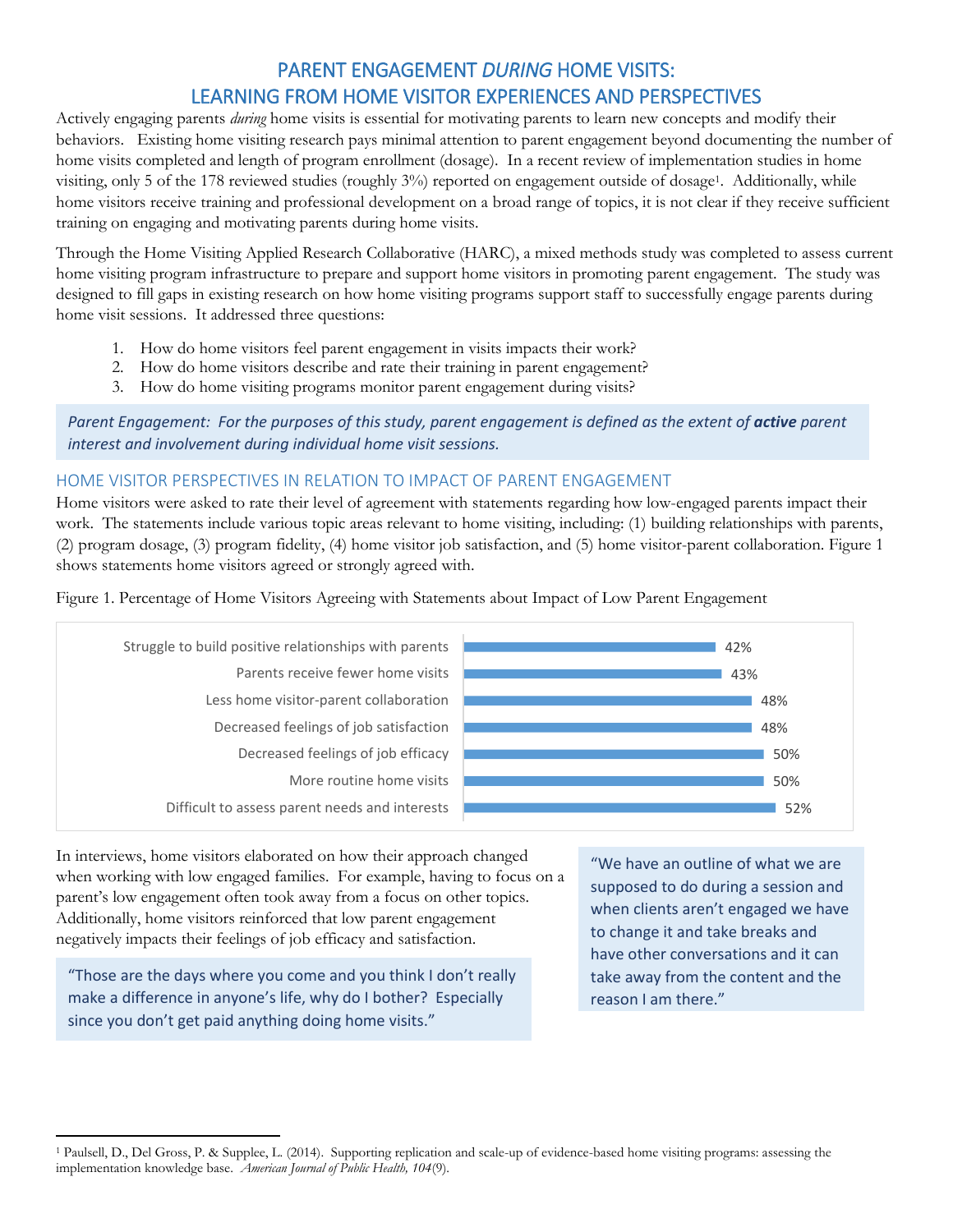# PARENT ENGAGEMENT *DURING* HOME VISITS: LEARNING FROM HOME VISITOR EXPERIENCES AND PERSPECTIVES

Actively engaging parents *during* home visits is essential for motivating parents to learn new concepts and modify their behaviors. Existing home visiting research pays minimal attention to parent engagement beyond documenting the number of home visits completed and length of program enrollment (dosage). In a recent review of implementation studies in home visiting, only 5 of the 178 reviewed studies (roughly 3%) reported on engagement outside of dosage<sup>1</sup> . Additionally, while home visitors receive training and professional development on a broad range of topics, it is not clear if they receive sufficient training on engaging and motivating parents during home visits.

Through the Home Visiting Applied Research Collaborative (HARC), a mixed methods study was completed to assess current home visiting program infrastructure to prepare and support home visitors in promoting parent engagement. The study was designed to fill gaps in existing research on how home visiting programs support staff to successfully engage parents during home visit sessions. It addressed three questions:

- 1. How do home visitors feel parent engagement in visits impacts their work?
- 2. How do home visitors describe and rate their training in parent engagement?
- 3. How do home visiting programs monitor parent engagement during visits?

*Parent Engagement: For the purposes of this study, parent engagement is defined as the extent of active parent interest and involvement during individual home visit sessions.* 

#### HOME VISITOR PERSPECTIVES IN RELATION TO IMPACT OF PARENT ENGAGEMENT

Home visitors were asked to rate their level of agreement with statements regarding how low-engaged parents impact their work. The statements include various topic areas relevant to home visiting, including: (1) building relationships with parents, (2) program dosage, (3) program fidelity, (4) home visitor job satisfaction, and (5) home visitor-parent collaboration. Figure 1 shows statements home visitors agreed or strongly agreed with.

Figure 1. Percentage of Home Visitors Agreeing with Statements about Impact of Low Parent Engagement



In interviews, home visitors elaborated on how their approach changed when working with low engaged families. For example, having to focus on a parent's low engagement often took away from a focus on other topics. Additionally, home visitors reinforced that low parent engagement negatively impacts their feelings of job efficacy and satisfaction.

"Those are the days where you come and you think I don't really make a difference in anyone's life, why do I bother? Especially since you don't get paid anything doing home visits."

"We have an outline of what we are supposed to do during a session and when clients aren't engaged we have to change it and take breaks and have other conversations and it can take away from the content and the reason I am there."

 $\overline{a}$ <sup>1</sup> Paulsell, D., Del Gross, P. & Supplee, L. (2014). Supporting replication and scale-up of evidence-based home visiting programs: assessing the implementation knowledge base. *American Journal of Public Health, 104*(9).